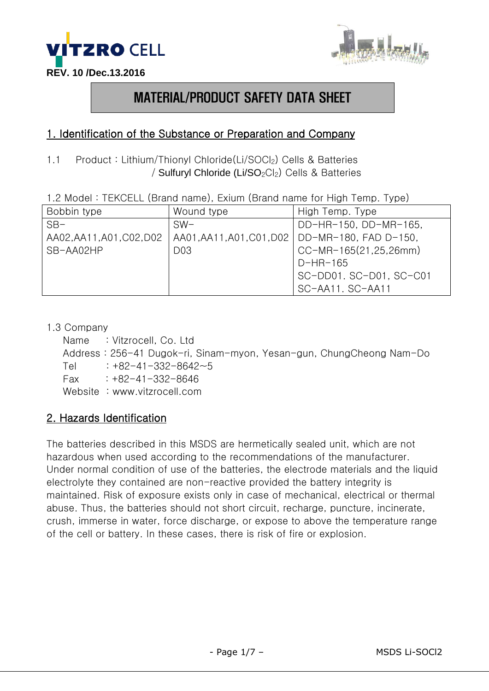



# MATERIAL/PRODUCT SAFETY DATA SHEET

### 1. Identification of the Substance or Preparation and Company

1.1 Product : Lithium/Thionyl Chloride(Li/SOCl2) Cells & Batteries / Sulfuryl Chloride (Li/SO<sub>2</sub>Cl<sub>2</sub>) Cells & Batteries

| 1.2 Model: TEKCELL (Brand name), Exium (Brand name for High Temp. Type) |  |  |  |  |  |  |
|-------------------------------------------------------------------------|--|--|--|--|--|--|
|-------------------------------------------------------------------------|--|--|--|--|--|--|

| Bobbin type               | Wound type                | High Temp. Type         |
|---------------------------|---------------------------|-------------------------|
| $SB-$                     | $SW-$                     | DD-HR-150, DD-MR-165,   |
| AA02, AA11, A01, C02, D02 | AA01, AA11, A01, C01, D02 | DD-MR-180, FAD D-150,   |
| SB-AA02HP                 | D <sub>03</sub>           | CC-MR-165(21,25,26mm)   |
|                           |                           | $D-HR-165$              |
|                           |                           | SC-DD01. SC-D01, SC-C01 |
|                           |                           | SC-AA11. SC-AA11        |

#### 1.3 Company

Name : Vitzrocell, Co. Ltd Address : 256-41 Dugok-ri, Sinam-myon, Yesan-gun, ChungCheong Nam-Do Tel  $: +82-41-332-8642-5$  $Fax : +82-41-332-8646$ Website: www.vitzrocell.com

#### 2. Hazards Identification

The batteries described in this MSDS are hermetically sealed unit, which are not hazardous when used according to the recommendations of the manufacturer. Under normal condition of use of the batteries, the electrode materials and the liquid electrolyte they contained are non-reactive provided the battery integrity is maintained. Risk of exposure exists only in case of mechanical, electrical or thermal abuse. Thus, the batteries should not short circuit, recharge, puncture, incinerate, crush, immerse in water, force discharge, or expose to above the temperature range of the cell or battery. In these cases, there is risk of fire or explosion.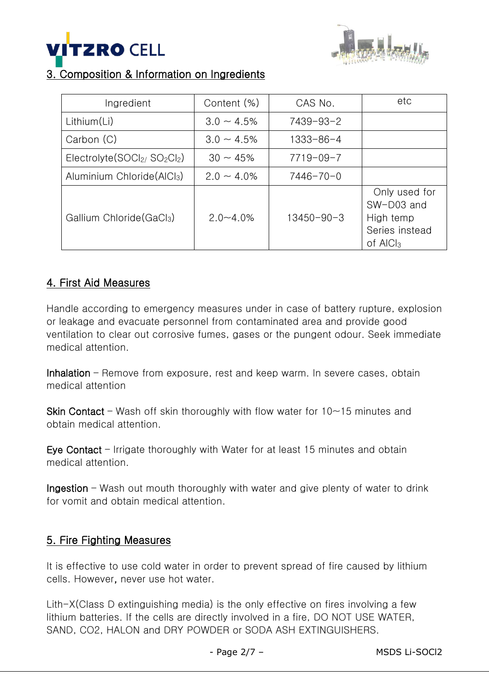



## 3. Composition & Information on Ingredients

| Ingredient                             | Content (%)      | CAS No.          | etc                                                                                |
|----------------------------------------|------------------|------------------|------------------------------------------------------------------------------------|
| Lithium(Li)                            | $3.0 \sim 4.5\%$ | 7439-93-2        |                                                                                    |
| Carbon (C)                             | $3.0 \sim 4.5\%$ | 1333-86-4        |                                                                                    |
| $Electrolyte(SOCl2/ SO2Cl2)$           | $30 \sim 45\%$   | $7719 - 09 - 7$  |                                                                                    |
| Aluminium Chloride(AlCl <sub>3</sub> ) | $2.0 \sim 4.0\%$ | $7446 - 70 - 0$  |                                                                                    |
| Gallium Chloride (GaCl3)               | $2.0 - 4.0\%$    | $13450 - 90 - 3$ | Only used for<br>SW-D03 and<br>High temp<br>Series instead<br>of AIC <sub>l3</sub> |

## 4. First Aid Measures

Handle according to emergency measures under in case of battery rupture, explosion or leakage and evacuate personnel from contaminated area and provide good ventilation to clear out corrosive fumes, gases or the pungent odour. Seek immediate medical attention.

Inhalation – Remove from exposure, rest and keep warm. In severe cases, obtain medical attention

**Skin Contact** – Wash off skin thoroughly with flow water for  $10-15$  minutes and obtain medical attention.

Eye Contact – Irrigate thoroughly with Water for at least 15 minutes and obtain medical attention.

Ingestion – Wash out mouth thoroughly with water and give plenty of water to drink for vomit and obtain medical attention.

#### 5. Fire Fighting Measures

It is effective to use cold water in order to prevent spread of fire caused by lithium cells. However, never use hot water.

Lith-X(Class D extinguishing media) is the only effective on fires involving a few lithium batteries. If the cells are directly involved in a fire, DO NOT USE WATER, SAND, CO2, HALON and DRY POWDER or SODA ASH EXTINGUISHERS.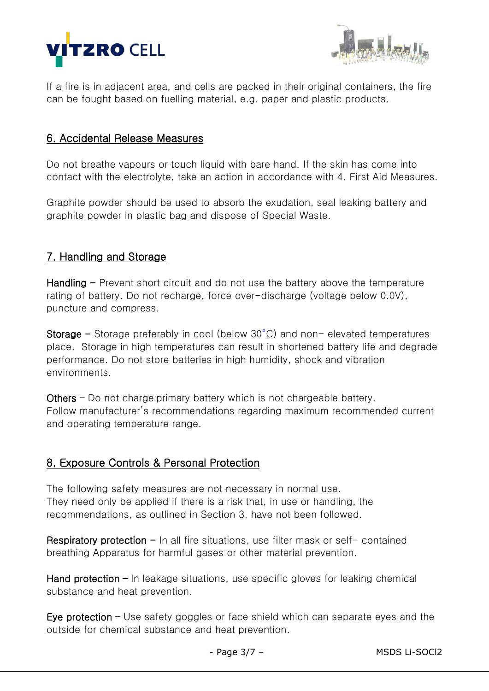



If a fire is in adjacent area, and cells are packed in their original containers, the fire can be fought based on fuelling material, e.g. paper and plastic products.

#### 6. Accidental Release Measures

Do not breathe vapours or touch liquid with bare hand. If the skin has come into contact with the electrolyte, take an action in accordance with 4. First Aid Measures.

Graphite powder should be used to absorb the exudation, seal leaking battery and graphite powder in plastic bag and dispose of Special Waste.

## 7. Handling and Storage

Handling  $-$  Prevent short circuit and do not use the battery above the temperature rating of battery. Do not recharge, force over-discharge (voltage below 0.0V), puncture and compress.

Storage  $-$  Storage preferably in cool (below 30 $^{\circ}$ C) and non-elevated temperatures place. Storage in high temperatures can result in shortened battery life and degrade performance. Do not store batteries in high humidity, shock and vibration environments.

Others – Do not charge primary battery which is not chargeable battery. Follow manufacturer's recommendations regarding maximum recommended current and operating temperature range.

#### 8. Exposure Controls & Personal Protection

The following safety measures are not necessary in normal use. They need only be applied if there is a risk that, in use or handling, the recommendations, as outlined in Section 3, have not been followed.

Respiratory protection  $-$  In all fire situations, use filter mask or self- contained breathing Apparatus for harmful gases or other material prevention.

Hand protection  $-$  In leakage situations, use specific gloves for leaking chemical substance and heat prevention.

Eye protection – Use safety goggles or face shield which can separate eyes and the outside for chemical substance and heat prevention.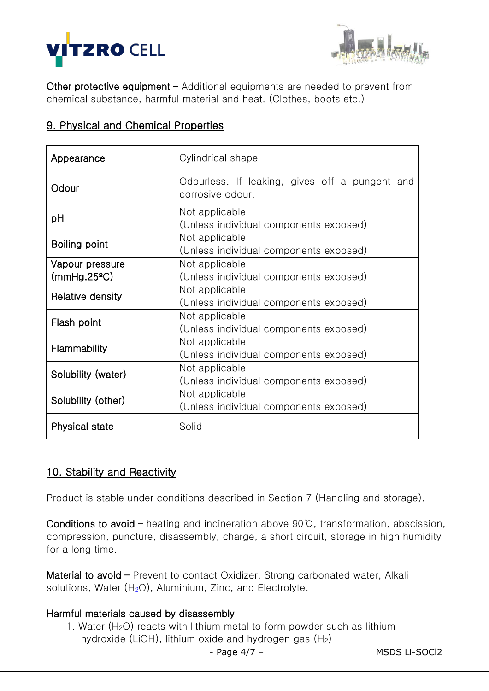



Other protective equipment – Additional equipments are needed to prevent from chemical substance, harmful material and heat. (Clothes, boots etc.)

|  |  |  |  | 9. Physical and Chemical Properties |
|--|--|--|--|-------------------------------------|
|--|--|--|--|-------------------------------------|

| Appearance                                                                     | Cylindrical shape                                                  |  |  |
|--------------------------------------------------------------------------------|--------------------------------------------------------------------|--|--|
| Odour                                                                          | Odourless. If leaking, gives off a pungent and<br>corrosive odour. |  |  |
| рH                                                                             | Not applicable<br>(Unless individual components exposed)           |  |  |
| Boiling point                                                                  | Not applicable<br>(Unless individual components exposed)           |  |  |
| Vapour pressure<br>(mmHg, 25°C)                                                | Not applicable<br>(Unless individual components exposed)           |  |  |
| Relative density                                                               | Not applicable<br>(Unless individual components exposed)           |  |  |
| Not applicable<br>Flash point<br>(Unless individual components exposed)        |                                                                    |  |  |
| <b>Flammability</b>                                                            | Not applicable<br>(Unless individual components exposed)           |  |  |
| Solubility (water)                                                             | Not applicable<br>(Unless individual components exposed)           |  |  |
| Not applicable<br>Solubility (other)<br>(Unless individual components exposed) |                                                                    |  |  |
| <b>Physical state</b>                                                          | Solid                                                              |  |  |

## 10. Stability and Reactivity

Product is stable under conditions described in Section 7 (Handling and storage).

Conditions to avoid – heating and incineration above 90℃, transformation, abscission, compression, puncture, disassembly, charge, a short circuit, storage in high humidity for a long time.

Material to avoid – Prevent to contact Oxidizer, Strong carbonated water, Alkali solutions, Water  $(H<sub>2</sub>O)$ , Aluminium, Zinc, and Electrolyte.

#### Harmful materials caused by disassembly

1. Water  $(H<sub>2</sub>O)$  reacts with lithium metal to form powder such as lithium hydroxide (LiOH), lithium oxide and hydrogen gas  $(H<sub>2</sub>)$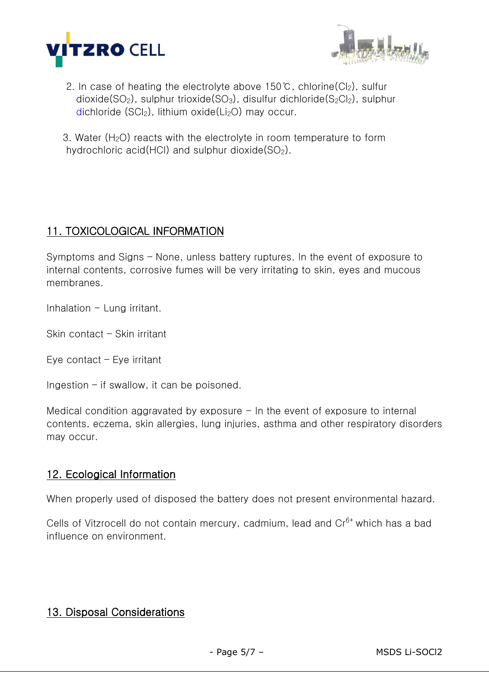



- 2. In case of heating the electrolyte above 150℃, chlorine( $Cl_2$ ), sulfur dioxide( $SO<sub>2</sub>$ ), sulphur trioxide( $SO<sub>3</sub>$ ), disulfur dichloride( $S<sub>2</sub>Cl<sub>2</sub>$ ), sulphur dichloride  $(SCl<sub>2</sub>)$ , lithium oxide(Li<sub>2</sub>O) may occur.
- 3. Water  $(H<sub>2</sub>O)$  reacts with the electrolyte in room temperature to form hydrochloric acid(HCl) and sulphur dioxide( $SO<sub>2</sub>$ ).

### 11. TOXICOLOGICAL INFORMATION

Symptoms and Signs – None, unless battery ruptures. In the event of exposure to internal contents, corrosive fumes will be very irritating to skin, eyes and mucous membranes.

Inhalation  $-$  Lung irritant.

Skin contact – Skin irritant

Eye contact – Eye irritant

Ingestion – if swallow, it can be poisoned.

Medical condition aggravated by exposure  $-$  In the event of exposure to internal contents, eczema, skin allergies, lung injuries, asthma and other respiratory disorders may occur.

#### 12. Ecological Information

When properly used of disposed the battery does not present environmental hazard.

Cells of Vitzrocell do not contain mercury, cadmium, lead and Cr<sup>6+</sup> which has a bad influence on environment.

#### 13. Disposal Considerations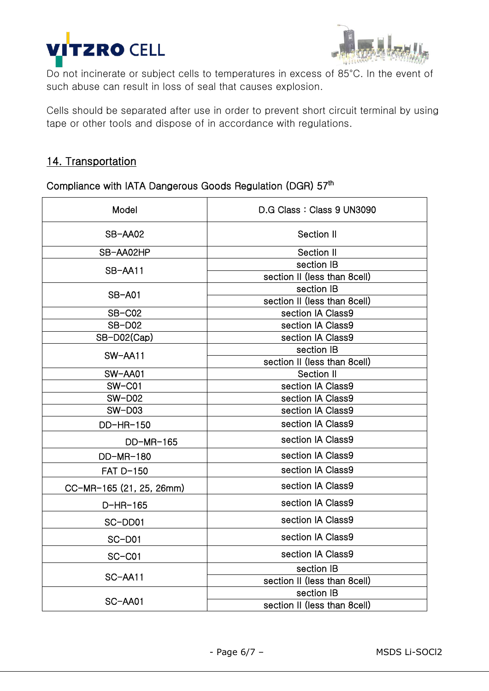



Do not incinerate or subject cells to temperatures in excess of 85°C. In the event of such abuse can result in loss of seal that causes explosion.

Cells should be separated after use in order to prevent short circuit terminal by using tape or other tools and dispose of in accordance with regulations.

## 14. Transportation

Compliance with IATA Dangerous Goods Regulation (DGR) 57<sup>th</sup>

| Model                    | D.G Class: Class 9 UN3090    |  |  |
|--------------------------|------------------------------|--|--|
| SB-AA02                  | Section II                   |  |  |
| SB-AA02HP                | Section II                   |  |  |
| SB-AA11                  | section IB                   |  |  |
|                          | section II (less than 8cell) |  |  |
| <b>SB-A01</b>            | section IB                   |  |  |
|                          | section II (less than 8cell) |  |  |
| SB-C02                   | section IA Class9            |  |  |
| <b>SB-D02</b>            | section IA Class9            |  |  |
| SB-D02(Cap)              | section IA Class9            |  |  |
| SW-AA11                  | section IB                   |  |  |
|                          | section II (less than 8cell) |  |  |
| SW-AA01                  | Section II                   |  |  |
| $SW$ – $CO1$             | section IA Class9            |  |  |
| $SW-D02$                 | section IA Class9            |  |  |
| <b>SW-D03</b>            | section IA Class9            |  |  |
| DD-HR-150                | section IA Class9            |  |  |
| DD-MR-165                | section IA Class9            |  |  |
| DD-MR-180                | section IA Class9            |  |  |
| FAT D-150                | section IA Class9            |  |  |
| CC-MR-165 (21, 25, 26mm) | section IA Class9            |  |  |
| D-HR-165                 | section IA Class9            |  |  |
| SC-DD01                  | section IA Class9            |  |  |
| $SC-D01$                 | section IA Class9            |  |  |
| $SC-C01$                 | section IA Class9            |  |  |
|                          | section IB                   |  |  |
| SC-AA11                  | section II (less than 8cell) |  |  |
|                          | section IB                   |  |  |
| SC-AA01                  | section II (less than 8cell) |  |  |